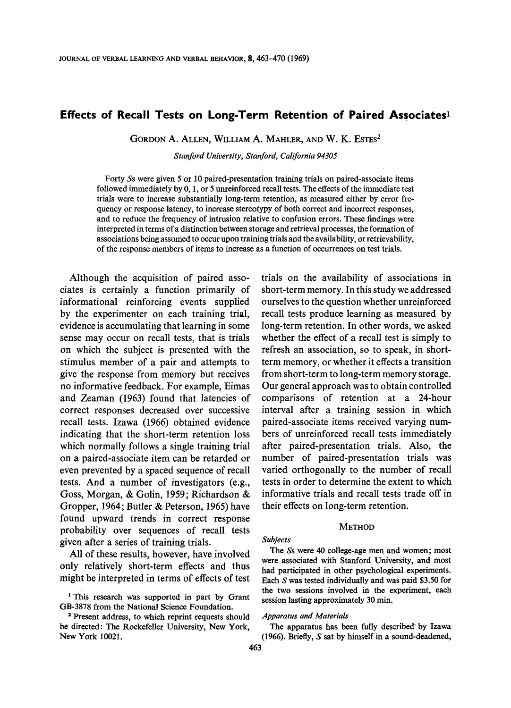# **Effects of Recall Tests on Long-Term Retention of Paired Associates<sup>1</sup>**

GORDON A. ALLEN, WILLIAM A. MAHLER, AND W. K. ESTES<sup>2</sup>

*Stanford University, Stanford, California 94305* 

Forty Ss were given 5 or I0 paired-presentation training trials on paired-associate items followed immediately by 0, 1, or 5 unreinforced recall tests. The effects of the immediate test trials were to increase substantially long-term retention, as measured either by error frequency or response latency, to increase stereotypy of both correct and incorrect responses, and to reduce the frequency of intrusion relative to confusion errors. These findings were interpreted in terms of a distinction between storage and retrieval processes, the formation of associations being assumed to occur upon training trials and the availability, or retrievability, of the response members of items to increase as a function of occurrences on test trials.

Although the acquisition of paired associates is certainly a function primarily of informational reinforcing events supplied by the experimenter on each training trial, evidence is accumulating that learning in some sense may occur on recall tests, that is trials on which the subject is presented with the stimulus member of a pair and attempts to give the response from memory but receives no informative feedback. For example, Eimas and Zeaman (1963) found that latencies of correct responses decreased over successive recall tests. Izawa (1966) obtained evidence indicating that the short-term retention loss which normally follows a single training trial on a paired-associate item can be retarded or even prevented by a spaced sequence of recall tests. And a number of investigators (e.g., Goss, Morgan, & Golin, 1959; Richardson & Gropper, 1964; Butler & Peterson, 1965) have found upward trends in correct response probability over sequences of recall tests given after a series of training trials.

All of these results, however, have involved only relatively short-term effects and thus might be interpreted in terms of effects of test

<sup>1</sup>This research was supported in part by Grant GB-3878 from the National Science Foundation.

2 Present address, to which reprint requests should be directed: The Rockefeller University, New York, New York 10021.

trials on the availability of associations in short-term memory. In this study we addressed ourselves to the question whether unreinforced recall tests produce learning as measured by long-term retention. In other words, we asked whether the effect of a recall test is simply to refresh an association, so to speak, in shortterm memory, or whether it effects a transition from short-term to long-term memory storage. Our general approach was to obtain controlled comparisons of retention at a 24-hour interval after a training session in which paired-associate items received varying numbers of unreinforced recall tests immediately after paired-presentation trials. Also, the number of paired-presentation trials was varied orthogonally to the number of recall tests in order to determine the extent to which informative trials and recall tests trade off in their effects on long-term retention.

# **METHOD**

#### *Sub/ects*

The Ss were 40 college-age men and women; most were associated with Stanford University, and most had participated in other psychological experiments. Each S was tested individually and was paid \$3.50 for the two sessions involved in the experiment, each session lasting approximately 30 min.

### *Apparatus and Materials*

The apparatus has been fully described by Izawa (1966). Briefly, S **sat** by himself in a sound-deadened,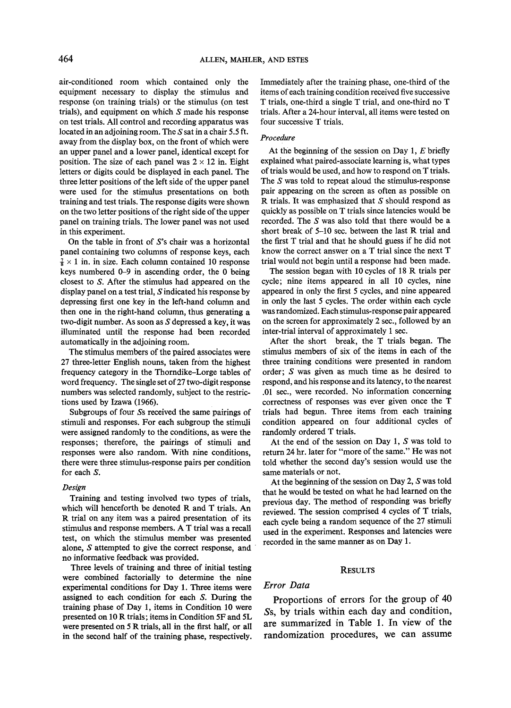air-conditioned room which contained only the equipment necessary to display the stimulus and response (on training trials) or the stimulus (on test trials), and equipment on which  $S$  made his response on test trials. All control and recording apparatus was located in an adjoining room. The S sat in a chair 5.5 ft. away from the display box, on the front of which were an upper panel and a lower panel, identical except for position. The size of each panel was  $2 \times 12$  in. Eight letters or digits could be displayed in each panel. The three letter positions of the left side of the upper panel were used for the stimulus presentations on both training and test trials. The response digits were shown on the two letter positions of the right side of the upper panel on training trials. The lower panel was not used in this experiment.

On the table in front of  $S$ 's chair was a horizontal panel containing two columns of response keys, each  $\frac{7}{8} \times 1$  in. in size. Each column contained 10 response keys numbered 0-9 in ascending order, the 0 being closest to S. After the stimulus had appeared on the display panel on a test trial, S indicated his response by depressing first one key in the left-hand column and then one in the right-hand column, thus generating a two-digit number. As soon as S depressed a key, it was illuminated until the response had been recorded automatically in the adjoining room.

The stimulus members of the paired associates were 27 three-letter English nouns, taken from the highest frequency category in the Thorndike-Lorge tables of word frequency. The single set of 27 two-digit response numbers was selected randomly, subject to the restrictions used by Izawa (1966).

Subgroups of four Ss received the same pairings of stimuli and responses. For each subgroup the stimuli were assigned randomly to the conditions, as were the responses; therefore, the pairings of stimuli and responses were also random. With nine conditions, there were three stimulus-response pairs per condition for each S.

### *Design*

Training and testing involved two types of trials, which will henceforth be denoted R and T trials. An R trial on any item was a paired presentation of its stimulus and response members. A T trial was a recall test, on which the stimulus member was presented alone, S attempted to give the correct response, and no informative feedback was provided.

Three levels of training and three of initial testing were combined factorially to determine the nine experimental conditions for Day 1. Three items were assigned to each condition for each S. During the training phase of Day 1, items in Condition 10 were presented on 10 R trials; items in Condition 5F and 5L were presented on 5 R trials, all in the first half, or all in the second half of the training phase, respectively.

Immediately after the training phase, one-third of the items of each training condition received five successive T trials, one-third a single T trial, and one-third no T trials. After a 24-hour interval, all items were tested on four successive T trials.

## *Procedure*

At the beginning of the session on Day 1,  $E$  briefly explained what paired-associate learning is, what types of trials would be used, and how to respond on T trials. The S was told to repeat aloud the stimulus-response pair appearing on the screen as often as possible on R trials. It was emphasized that  $S$  should respond as quickly as possible on T trials since latencies would be recorded. The S was also told that there would be a short break of 5-10 sec. between the last R trial and the first T trial and that he should guess if he did not know the correct answer on a T trial since the next T trial would not begin until a response had been made.

The session began with 10 cycles of 18 R trials per cycle; nine items appeared in all 10 cycles, nine appeared in only the first 5 cycles, and nine appeared in only the last 5 cycles. The order within each cycle was randomized. Each stimulus-response pair appeared on the screen for approximately 2 sec., followed by an inter-trial interval of approximately 1 sec.

After the short break, the T trials began. The stimulus members of six of the items in each of the three training conditions were presented in random order; S was given as much time as he desired to respond, and his response and its latency, to the nearest .01 sec., were recorded. No information concerning correctness of responses was ever given once the T trials had begun. Three items from each training condition appeared on four additional cycles of randomly ordered T trials.

At the end of the session on Day 1, S was told to return 24 hr. later for "more of the same." He was not told whether the second day's session would use the same materials or not.

At the beginning of the session on Day 2, S was told that he would be tested on what he had learned on the previous day. The method of responding was briefly reviewed. The session comprised 4 cycles of T trials, each cycle being a random sequence of the 27 stimuli used in the experiment. Responses and latencies were recorded in the same manner as on Day 1.

#### **RESULTS**

# *Error Data*

Proportions of errors for the group of 40 Ss, by trials within each day and condition, are summarized in Table 1. In view of the randomization procedures, we can assume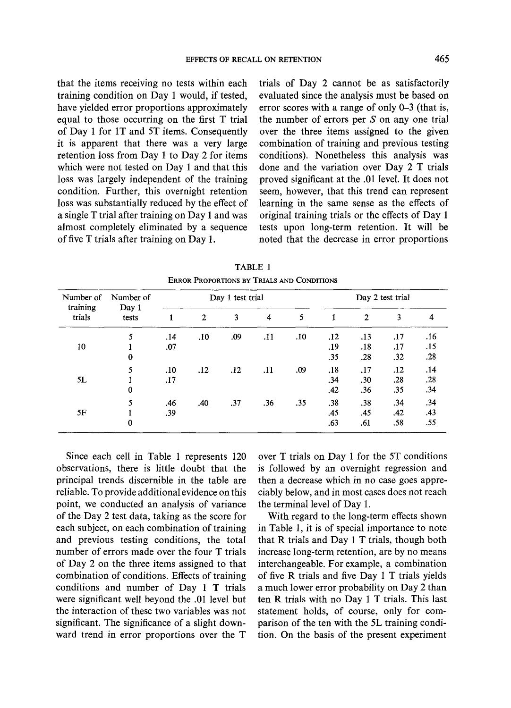that the items receiving no tests within each training condition on Day 1 would, if tested, have yielded error proportions approximately equal to those occurring on the first T trial of Day 1 for 1T and 5T items. Consequently it is apparent that there was a very large retention loss from Day 1 to Day 2 for items which were not tested on Day 1 and that this loss was largely independent of the training condition. Further, this overnight retention loss was substantially reduced by the effect of a single T trial after training on Day 1 and was almost completely eliminated by a sequence of five T trials after training on Day 1.

trials of Day 2 cannot be as satisfactorily evaluated since the analysis must be based on error scores with a range of only 0-3 (that is, the number of errors per  $S$  on any one trial over the three items assigned to the given combination of training and previous testing conditions). Nonetheless this analysis was done and the variation over Day 2 T trials proved significant at the .01 level. It does not seem, however, that this trend can represent learning in the same sense as the effects of original training trials or the effects of Day 1 tests upon long-term retention. It will be noted that the decrease in error proportions

| Number of<br>training<br>trials | Number of<br>Day 1<br>tests | Day 1 test trial |              |     |     | Day 2 test trial |     |     |     |     |
|---------------------------------|-----------------------------|------------------|--------------|-----|-----|------------------|-----|-----|-----|-----|
|                                 |                             |                  | $\mathbf{2}$ | 3   | 4   | 5                |     | 2   | 3   | 4   |
|                                 | 5                           | .14              | .10          | .09 | .11 | .10              | .12 | .13 | .17 | .16 |
| 10                              |                             | .07              |              |     |     |                  | .19 | .18 | .17 | .15 |
|                                 | 0                           |                  |              |     |     |                  | .35 | .28 | .32 | .28 |
| 5L                              | 5                           | .10              | .12          | .12 | .11 | .09              | .18 | .17 | .12 | .14 |
|                                 |                             | .17              |              |     |     |                  | .34 | .30 | .28 | .28 |
|                                 | 0                           |                  |              |     |     |                  | .42 | .36 | .35 | .34 |
| 5F                              | 5                           | .46              | .40          | .37 | .36 | .35              | .38 | .38 | .34 | .34 |
|                                 |                             | .39              |              |     |     |                  | .45 | .45 | .42 | .43 |
|                                 | $\bf{0}$                    |                  |              |     |     |                  | .63 | .61 | .58 | .55 |

TABLE **1**  ERROR PROPORTIONS BY TRIALS AND CONDITIONS

Since each cell in Table 1 represents 120 observations, there is little doubt that the principal trends discernible in the table are reliable. To provide additional evidence on this point, we conducted an analysis of variance of the Day 2 test data, taking as the score for each subject, on each combination of training and previous testing conditions, the total number of errors made over the four T trials of Day 2 on the three items assigned to that combination of conditions. Effects of training conditions and number of Day 1 T trials were significant well beyond the .01 level but the interaction of these two variables was not significant. The significance of a slight downward trend in error proportions over the T

over T trials on Day I for the 5T conditions is followed by an overnight regression and then a decrease which in no case goes appreciably below, and in most cases does not reach the terminal level of Day 1.

With regard to the long-term effects shown in Table 1, it is of special importance to note that R trials and Day 1 T trials, though both increase long-term retention, are by no means interchangeable. For example, a combination of five R trials and five Day 1 T trials yields a much lower error probability on Day 2 than ten R trials with no Day 1 T trials. This last statement holds, of course, only for comparison of the ten with the 5L training condition. On the basis of the present experiment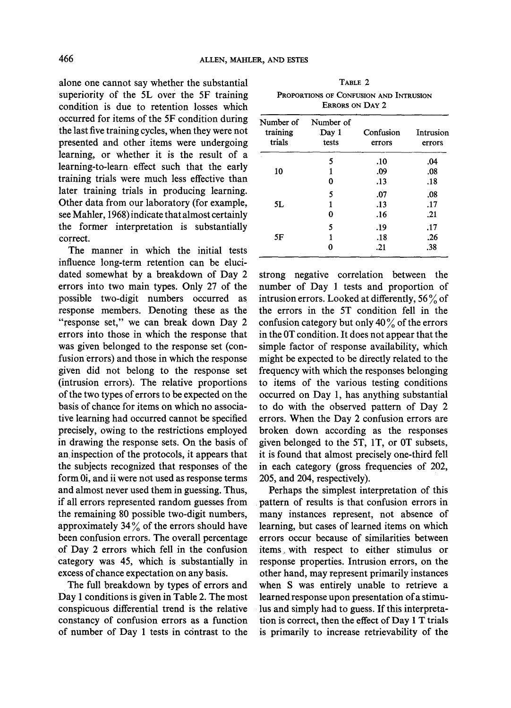alone one cannot say whether the substantial superiority of the 5L over the 5F training condition is due to retention losses which occurred for items of the 5F condition during the last five training cycles, when they were not presented and other items were undergoing learning, or whether it is the result of a learning-to-learn effect such that the early training trials were much less effective than later training trials in producing learning. Other data from our laboratory (for example, see Mahler, 1968) indicate that almost certainly the former interpretation is substantially correct.

The manner in which the initial tests influence long-term retention can be elucidated somewhat by a breakdown of Day 2 errors into two main types. Only 27 of the possible two-digit numbers occurred as response members. Denoting these as the "response set," we can break down Day 2 errors into those in which the response that was given belonged to the response set (confusion errors) and those in which the response given did not belong to the response set (intrusion errors). The relative proportions of the two types of errors to be expected on the basis of chance for items on which no associative learning had occurred cannot be specified precisely, owing to the restrictions employed in drawing the response sets. On the basis of an inspection of the protocols, it appears that the subjects recognized that responses of the form 0i, and ii were not used as response terms and almost never used them in guessing. Thus, if all errors represented random guesses from the remaining 80 possible two-digit numbers, approximately  $34\%$  of the errors should have been confusion errors. The overall percentage of Day 2 errors which fell in the confusion category was 45, which is substantially in excess of chance expectation on any basis.

The full breakdown by types of errors and Day 1 conditions is given in Table 2. The most conspicuous differential trend is the relative constancy of confusion errors as a function of number of Day 1 tests in contrast to the

| Number of<br>training<br>trials | Number of<br>Day 1<br>tests | Confusion<br>errors | Intrusion<br>errors |
|---------------------------------|-----------------------------|---------------------|---------------------|
|                                 | 5                           | .10                 | .04                 |
| 10                              | 1                           | .09                 | .08                 |
|                                 | 0                           | .13                 | .18                 |
|                                 | 5                           | .07                 | .08                 |
| 5L                              | 1                           | .13                 | .17                 |
|                                 | 0                           | .16                 | .21                 |
|                                 | 5                           | .19                 | .17                 |
| 5F                              | 1                           | .18                 | .26                 |
|                                 | O                           | .21                 | .38                 |

TABLE 2 PROPORTIONS OF CONFUSION AND INTRUSION ERRORS ON DAY 2

strong negative correlation between the number of Day 1 tests and proportion of intrusion errors. Looked at differently,  $56\%$  of the errors in the 5T condition fell in the confusion category but only 40  $\%$  of the errors in the 0T condition. It does not appear that the simple factor of response availability, which might be expected to be directly related to the frequency with which the responses belonging to items of the various testing conditions occurred on Day 1, has anything substantial to do with the observed pattern of Day 2 errors. When the Day 2 confusion errors are broken down according as the responses given belonged to the 5T, 1T, or 0T subsets, it is found that almost precisely one-third fell in each category (gross frequencies of 202, 205, and 204, respectively).

Perhaps the simplest interpretation of this pattern of results is that confusion errors in many instances represent, not absence of learning, but cases of learned items on which errors occur because of similarities between items, with respect to either stimulus or response properties. Intrusion errors, on the other hand, may represent primarily instances when S was entirely unable to retrieve a learned response upon presentation of a stimulus and simply had to guess. If this interpretation is correct, then the effect of Day 1 T trials is primarily to increase retrievability of the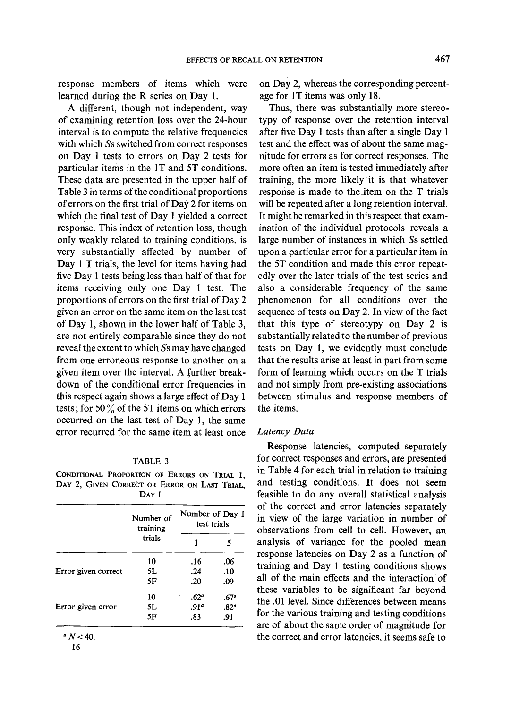response members of items which were learned during the R series on Day 1.

A different, though not independent, way of examining retention loss over the 24-hour interval is to compute the relative frequencies with which Ss switched from correct responses on Day 1 tests to errors on Day 2 tests for particular items in the 1T and 5T conditions. These data are presented in the upper half of Table 3 in terms of the conditional proportions of errors on the first trial of Day 2 for items on which the final test of Day 1 yielded a correct response. This index of retention loss, though only weakly related to training conditions, is very substantially affected by number of Day 1 T trials, the level for items having had five Day 1 tests being less than half of that for items receiving only one Day 1 test. The proportions of errors on the first trial of Day 2 given an error on the same item on the last test of Day 1, shown in the lower half of Table 3, are not entirely comparable since they do not reveal the extent to which Ss may have changed from one erroneous response to another on a given item over the interval. A further breakdown of the conditional error frequencies in this respect again shows a large effect of Day 1 tests; for 50% of the 5T items on which errors occurred on the last test of Day 1, the same error recurred for the same item at least once

# TABLE 3

CONDITIONAL PROPORTION OF ERRORS ON TRIAL I, DAY 2, GIVEN CORRECT OR ERROR ON LAST TRIAL. D<sub>AY</sub> 1

|                     | Number of<br>training | Number of Day 1<br>test trials |                  |  |
|---------------------|-----------------------|--------------------------------|------------------|--|
|                     | trials                |                                |                  |  |
|                     | 10                    | .16                            | .06              |  |
| Error given correct | 5L                    | .24                            | .10              |  |
|                     | 5F                    | .20                            | .09              |  |
|                     | $10^{\circ}$          | .62 <sup>a</sup>               | .67 <sup>°</sup> |  |
| Error given error   | 5L                    | .91 <sup>a</sup>               | .82 <sup>o</sup> |  |
|                     | 5F                    | .83                            | .91              |  |

 $N < 40$ .

on Day 2, whereas the corresponding percentage for 1T items was only 18.

Thus, there was substantially more stereotypy of response over the retention interval after five Day 1 tests than after a single Day 1 test and the effect was of about the same magnitude for errors as for correct responses. The more often an item is tested immediately after training, the more likely it is that whatever response is made to the.item on the T trials will be repeated after a long retention interval. It might be remarked in this respect that examination of the individual protocols reveals a large number of instances in which Ss settled upon a particular error for a particular item in the 5T condition and made this error repeatedly over the later trials of the test series and also a considerable frequency of the same phenomenon for all conditions over the sequence of tests on Day 2. In view of the fact that this type of stereotypy on Day 2 is substantially related to the number of previous tests on Day 1, we evidently must conclude that the results arise at least in part from some form of learning which occurs on the T trials and not simply from pre-existing associations between stimulus and response members of the items.

# *Latency Data*

Response latencies, computed separately for correct responses and errors, are presented in Table 4 for each trial in relation to training and testing conditions. It does not seem feasible to do any overall statistical analysis of the correct and error latencies separately in view of the large variation in number of observations from cell to cell. However, an analysis of variance for the pooled mean response latencies on Day 2 as a function of training and Day 1 testing conditions shows all of the main effects and the interaction of these variables to be significant far beyond the .01 level. Since differences between means for the various training and testing conditions are of about the same order of magnitude for the correct and error latencies, it seems safe to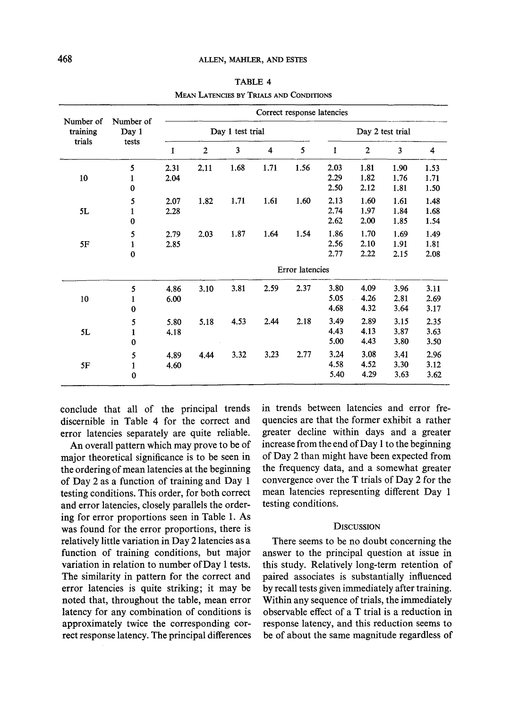| Number of<br>training<br>trials | Number of<br>Day 1<br>tests | Correct response latencies |                |      |      |                  |              |                |      |      |
|---------------------------------|-----------------------------|----------------------------|----------------|------|------|------------------|--------------|----------------|------|------|
|                                 |                             | Day 1 test trial           |                |      |      | Day 2 test trial |              |                |      |      |
|                                 |                             | 1                          | $\overline{2}$ | 3    | 4    | 5                | $\mathbf{1}$ | $\overline{2}$ | 3    | 4    |
|                                 | 5                           | 2.31                       | 2.11           | 1.68 | 1.71 | 1.56             | 2.03         | 1.81           | 1.90 | 1.53 |
| 10                              | 1                           | 2.04                       |                |      |      |                  | 2.29         | 1.82           | 1.76 | 1.71 |
|                                 | $\bf{0}$                    |                            |                |      |      |                  | 2.50         | 2.12           | 1.81 | 1.50 |
|                                 | 5                           | 2.07                       | 1.82           | 1.71 | 1.61 | 1.60             | 2.13         | 1.60           | 1.61 | 1.48 |
| 5L                              | $\mathbf{1}$                | 2.28                       |                |      |      |                  | 2.74         | 1.97           | 1.84 | 1.68 |
|                                 | $\bf{0}$                    |                            |                |      |      |                  | 2.62         | 2.00           | 1.85 | 1.54 |
|                                 | 5                           | 2.79                       | 2.03           | 1.87 | 1.64 | 1.54             | 1.86         | 1.70           | 1.69 | 1.49 |
| 5F                              | $\mathbf{1}$                | 2.85                       |                |      |      |                  | 2.56         | 2.10           | 1.91 | 1.81 |
|                                 | $\bf{0}$                    |                            |                |      |      |                  | 2.77         | 2.22           | 2.15 | 2.08 |
|                                 |                             | Error latencies            |                |      |      |                  |              |                |      |      |
|                                 | 5                           | 4.86                       | 3.10           | 3.81 | 2.59 | 2.37             | 3.80         | 4.09           | 3.96 | 3.11 |
| 10                              | $\mathbf{1}$                | 6.00                       |                |      |      |                  | 5.05         | 4.26           | 2.81 | 2.69 |
|                                 | 0                           |                            |                |      |      |                  | 4.68         | 4.32           | 3.64 | 3.17 |
|                                 | 5                           | 5.80                       | 5.18           | 4.53 | 2.44 | 2.18             | 3.49         | 2.89           | 3.15 | 2.35 |
| 5L                              | $\mathbf{1}$                | 4.18                       |                |      |      |                  | 4.43         | 4.13           | 3.87 | 3.63 |
|                                 | 0                           |                            |                |      |      |                  | 5.00         | 4.43           | 3.80 | 3.50 |
|                                 | 5                           | 4.89                       | 4.44           | 3.32 | 3.23 | 2.77             | 3.24         | 3.08           | 3.41 | 2.96 |
| 5F                              | $\mathbf{1}$                | 4.60                       |                |      |      |                  | 4.58         | 4.52           | 3.30 | 3.12 |
|                                 | $\bf{0}$                    |                            |                |      |      |                  | 5.40         | 4.29           | 3.63 | 3.62 |

TABLE 4 MEAN LATENCIES BY TRIALS AND CONDITIONS

conclude that all of the principal trends discernible in Table 4 for the correct and error latencies separately are quite reliable.

An overall pattern which may prove to be of major theoretical significance is to be seen in the ordering of mean latencies at the beginning of Day 2 as a function of training and Day 1 testing conditions. This order, for both correct and error latencies, closely parallels the ordering for error proportions seen in Table 1. As was found for the error proportions, there is relatively little variation in Day 2 latencies as a function of training conditions, but major variation in relation to number of Day 1 tests. The similarity in pattern for the correct and error latencies is quite striking; it may be noted that, throughout the table, mean error latency for any combination of conditions is approximately twice the corresponding correct response latency. The principal differences in trends between latencies and error frequencies are that the former exhibit a rather greater decline within days and a greater increase from the end of Day 1 to the beginning of Day 2 than might have been expected from the frequency data, and a somewhat greater convergence over the T trials of Day 2 for the mean latencies representing different Day 1 testing conditions.

### **DISCUSSION**

There seems to be no doubt concerning the answer to the principal question at issue in this study. Relatively long-term retention of paired associates is substantially influenced by recall tests given immediately after training. Within any sequence of trials, the immediately observable effect of a T trial is a reduction in response latency, and this reduction seems to be of about the same magnitude regardless of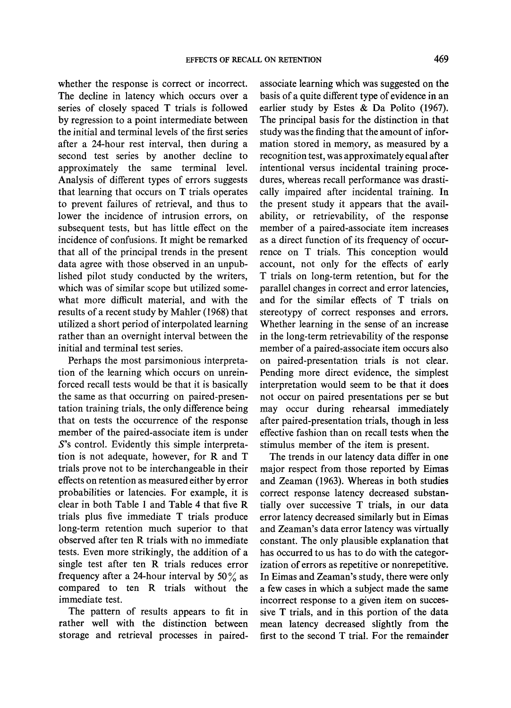whether the response is correct or incorrect. The decline in latency which occurs over a series of closely spaced T trials is followed by regression to a point intermediate between the initial and terminal levels of the first series after a 24-hour rest interval, then during a second test series by another decline to approximately the same terminal level. Analysis of different types of errors suggests that learning that occurs on T trials operates to prevent failures of retrieval, and thus to lower the incidence of intrusion errors, on subsequent tests, but has little effect on the incidence of confusions. It might be remarked that all of the principal trends in the present data agree with those observed in an unpublished pilot study conducted by the writers, which was of similar scope but utilized somewhat more difficult material, and with the results of a recent study by Mahler (1968) that utilized a short period of interpolated learning rather than an overnight interval between the initial and terminal test series.

Perhaps the most parsimonious interpretation of the learning which occurs on unreinforced recall tests would be that it is basically the same as that occurring on paired-presentation training trials, the only difference being that on tests the occurrence of the response member of the paired-associate item is under S's control. Evidently this simple interpretation is not adequate, however, for R and T trials prove not to be interchangeable in their effects on retention as measured either by error probabilities or latencies. For example, it is clear in both Table 1 and Table 4 that five R trials plus five immediate T trials produce long-term retention much superior to that observed after ten R trials with no immediate tests. Even more strikingly, the addition of a single test after ten R trials reduces error frequency after a 24-hour interval by  $50\%$  as compared to ten R trials without the immediate test.

The pattern of results appears to fit in rather well with the distinction between storage and retrieval processes in pairedassociate learning which was suggested on the basis of a quite different type of evidence in an earlier study by Estes & Da Polito (1967). The principal basis for the distinction in that study was the finding that the amount of information stored in memory, as measured by a recognition test, was approximately equal after intentional versus incidental training procedures, whereas recall performance was drastically impaired after incidental training. In the present study it appears that the availability, or retrievability, of the response member of a paired-associate item increases as a direct function of its frequency of occurrence on T trials. This conception would account, not only for the effects of early T trials on long-term retention, but for the parallel changes in correct and error latencies, and for the similar effects of T trials on stereotypy of correct responses and errors. Whether learning in the sense of an increase in the long-term retrievability of the response member of a paired-associate item occurs also on paired-presentation trials is not clear. Pending more direct evidence, the simplest interpretation would seem to be that it does not occur on paired presentations per se but may occur during rehearsal immediately after paired-presentation trials, though in less effective fashion than on recall tests when the stimulus member of the item is present.

The trends in our latency data differ in one major respect from those reported by Eimas and Zeaman (1963). Whereas in both studies correct response latency decreased substantially over successive T trials, in our data error latency decreased similarly but in Eimas and Zeaman's data error latency was virtually constant. The only plausible explanation that has occurred to us has to do with the categorization of errors as repetitive or nonrepetitive. In Eimas and Zeaman's study, there were only a few cases in which a subject made the same incorrect response to a given item on successive T trials, and in this portion of the data mean latency decreased slightly from the first to the second T trial. For the remainder